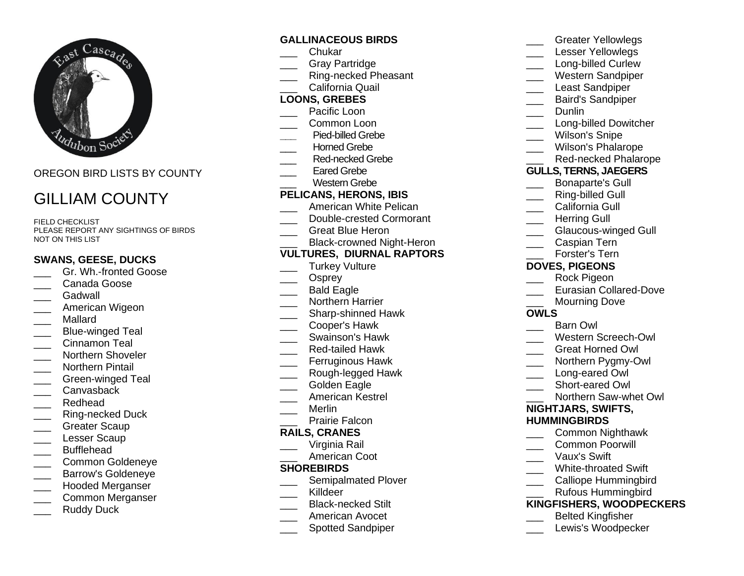

OREGON BIRD LISTS BY COUNTY

# GILLIAM COUNTY

FIELD CHECKLIST PLEASE REPORT ANY SIGHTINGS OF BIRDS NOT ON THIS LIST

## **SWANS, GEESE, DUCKS**

- Gr. Wh.-fronted Goose
- Canada Goose
- \_\_\_ Gadwall
- \_\_\_ American Wigeon
- \_\_\_ Mallard
- Blue-winged Teal
- \_\_\_ Cinnamon Teal
- Northern Shoveler
- \_\_\_ Northern Pintail
- Green-winged Teal
- Canvasback
- Redhead
- Ring-necked Duck
- \_\_\_ Greater Scaup
- \_\_\_ Lesser Scaup
- \_\_\_ Bufflehead
- \_\_\_ Common Goldeneye
- \_\_\_ Barrow's Goldeneye
- \_\_\_ Hooded Merganser
- \_\_\_ Common Merganser
- Ruddy Duck

#### **GALLINACEOUS BIRDS**

- \_\_\_ Chukar
- Gray Partridge
- Ring-necked Pheasant
- California Quail

## **LOONS, GREBES**

- Pacific Loon
- \_\_\_ Common Loon
- **\_\_\_** Pied-billed Grebe
- Horned Grebe
- Red-necked Grebe
- Eared Grebe
	- Western Grebe

#### **PELICANS, HERONS, IBIS**

- American White Pelican
- Double-crested Cormorant
- \_\_\_ Great Blue Heron
- Black-crowned Night-Heron

# **VULTURES, DIURNAL RAPTORS**

- \_\_\_ Turkey Vulture
- Osprey
- Bald Eagle
- \_\_\_ Northern Harrier
- **\_\_\_** Sharp-shinned Hawk
- \_\_\_ Cooper's Hawk
- \_\_\_ Swainson's Hawk
- \_\_\_ Red-tailed Hawk
- \_\_\_ Ferruginous Hawk
- Rough-legged Hawk
- Golden Eagle
- \_\_\_ American Kestrel
- \_\_\_ Merlin
	- Prairie Falcon

#### **RAILS, CRANES**

- Virginia Rail
- American Coot

#### **SHOREBIRDS**

- \_\_\_ Semipalmated Plover
- Killdeer
- \_\_\_ Black-necked Stilt
- \_\_\_ American Avocet
- \_\_\_ Spotted Sandpiper

|                              | טופטוסו ופווטאופעט            |
|------------------------------|-------------------------------|
|                              | Lesser Yellowlegs             |
|                              | Long-billed Curlew            |
|                              | <b>Western Sandpiper</b>      |
| $\overline{\phantom{a}}$     | <b>Least Sandpiper</b>        |
|                              | <b>Baird's Sandpiper</b>      |
|                              | Dunlin                        |
| $\overline{\phantom{a}}$     | <b>Long-billed Dowitcher</b>  |
|                              | <b>Wilson's Snipe</b>         |
|                              | <b>Wilson's Phalarope</b>     |
|                              | <b>Red-necked Phalarope</b>   |
| <b>GULLS, TERNS, JAEGERS</b> |                               |
|                              | <b>Bonaparte's Gull</b>       |
|                              | <b>Ring-billed Gull</b>       |
|                              | California Gull               |
|                              | <b>Herring Gull</b>           |
|                              | <b>Glaucous-winged Gull</b>   |
|                              | Caspian Tern                  |
|                              | Forster's Tern                |
| <b>DOVES, PIGEONS</b>        |                               |
|                              | Rock Pigeon                   |
|                              | <b>Eurasian Collared-Dove</b> |
|                              | <b>Mourning Dove</b>          |
| <b>OWLS</b>                  |                               |
|                              | <b>Barn Owl</b>               |
|                              | <b>Western Screech-Owl</b>    |
|                              | <b>Great Horned Owl</b>       |
|                              | Northern Pygmy-Owl            |
|                              | Long-eared Owl                |
|                              | Short-eared Owl               |
|                              | Northern Saw-whet Owl         |
| NIGHTJARS, SWIFTS,           |                               |
| <b>HUMMINGBIRDS</b>          |                               |
|                              | Common Nighthawk              |
|                              | <b>Common Poorwill</b>        |
|                              | Vaux's Swift                  |
|                              | <b>White-throated Swift</b>   |
|                              | <b>Calliope Hummingbird</b>   |

\_\_\_ Greater Yellowlegs

\_\_\_ Rufous Hummingbird

## **KINGFISHERS, WOODPECKERS**

- \_\_\_ Belted Kingfisher
- Lewis's Woodpecker